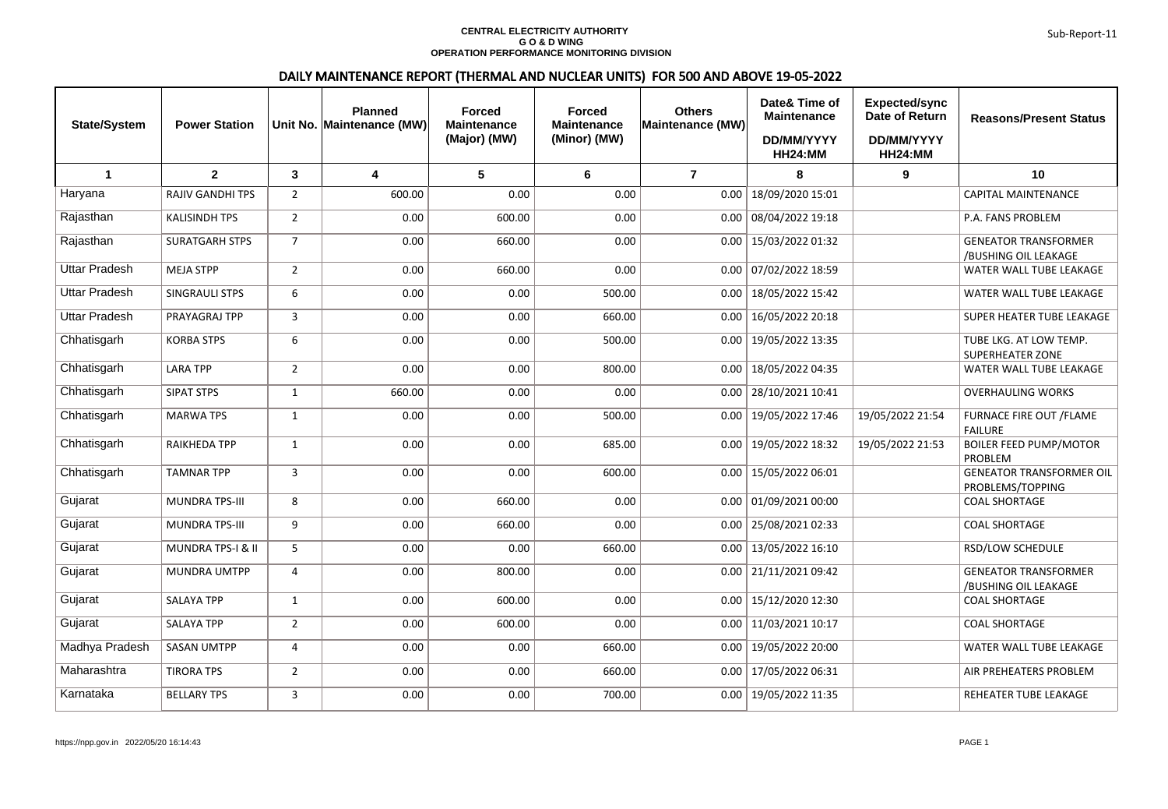## **CENTRAL ELECTRICITY AUTHORITY G O & D WING OPERATION PERFORMANCE MONITORING DIVISION**

## DAILY MAINTENANCE REPORT (THERMAL AND NUCLEAR UNITS) FOR 500 AND ABOVE 19-05-2022

| <b>State/System</b>  | <b>Power Station</b>         |                | <b>Planned</b><br>Unit No. Maintenance (MW) | <b>Forced</b><br><b>Maintenance</b><br>(Major) (MW) | <b>Forced</b><br><b>Maintenance</b><br>(Minor) (MW) | <b>Others</b><br><b>Maintenance (MW)</b> | Date& Time of<br><b>Maintenance</b><br>DD/MM/YYYY<br>HH24:MM | <b>Expected/sync</b><br>Date of Return<br>DD/MM/YYYY<br><b>HH24:MM</b> | <b>Reasons/Present Status</b>                       |
|----------------------|------------------------------|----------------|---------------------------------------------|-----------------------------------------------------|-----------------------------------------------------|------------------------------------------|--------------------------------------------------------------|------------------------------------------------------------------------|-----------------------------------------------------|
| $\blacktriangleleft$ | $\mathbf{2}$                 | 3              | $\overline{\mathbf{4}}$                     | $5\phantom{.0}$                                     | 6                                                   | $\overline{7}$                           | 8                                                            | 9                                                                      | 10                                                  |
| Haryana              | RAJIV GANDHI TPS             | $\overline{2}$ | 600.00                                      | 0.00                                                | 0.00                                                | 0.00                                     | 18/09/2020 15:01                                             |                                                                        | CAPITAL MAINTENANCE                                 |
| Rajasthan            | <b>KALISINDH TPS</b>         | $\overline{2}$ | 0.00                                        | 600.00                                              | 0.00                                                | 0.00                                     | 08/04/2022 19:18                                             |                                                                        | P.A. FANS PROBLEM                                   |
| Rajasthan            | <b>SURATGARH STPS</b>        | $\overline{7}$ | 0.00                                        | 660.00                                              | 0.00                                                | 0.00                                     | 15/03/2022 01:32                                             |                                                                        | <b>GENEATOR TRANSFORMER</b><br>/BUSHING OIL LEAKAGE |
| <b>Uttar Pradesh</b> | <b>MEJA STPP</b>             | $\overline{2}$ | 0.00                                        | 660.00                                              | 0.00                                                |                                          | 0.00   07/02/2022 18:59                                      |                                                                        | WATER WALL TUBE LEAKAGE                             |
| <b>Uttar Pradesh</b> | SINGRAULI STPS               | 6              | 0.00                                        | 0.00                                                | 500.00                                              | 0.00                                     | 18/05/2022 15:42                                             |                                                                        | WATER WALL TUBE LEAKAGE                             |
| <b>Uttar Pradesh</b> | PRAYAGRAJ TPP                | 3              | 0.00                                        | 0.00                                                | 660.00                                              | 0.00                                     | 16/05/2022 20:18                                             |                                                                        | SUPER HEATER TUBE LEAKAGE                           |
| Chhatisgarh          | <b>KORBA STPS</b>            | 6              | 0.00                                        | 0.00                                                | 500.00                                              | 0.00                                     | 19/05/2022 13:35                                             |                                                                        | TUBE LKG. AT LOW TEMP.<br><b>SUPERHEATER ZONE</b>   |
| Chhatisgarh          | <b>LARA TPP</b>              | $\overline{2}$ | 0.00                                        | 0.00                                                | 800.00                                              | 0.00                                     | 18/05/2022 04:35                                             |                                                                        | WATER WALL TUBE LEAKAGE                             |
| Chhatisgarh          | <b>SIPAT STPS</b>            | $\mathbf{1}$   | 660.00                                      | 0.00                                                | 0.00                                                | 0.00                                     | 28/10/2021 10:41                                             |                                                                        | <b>OVERHAULING WORKS</b>                            |
| Chhatisgarh          | <b>MARWA TPS</b>             | $\mathbf{1}$   | 0.00                                        | 0.00                                                | 500.00                                              | 0.00                                     | 19/05/2022 17:46                                             | 19/05/2022 21:54                                                       | FURNACE FIRE OUT / FLAME<br><b>FAILURE</b>          |
| Chhatisgarh          | RAIKHEDA TPP                 | $\mathbf{1}$   | 0.00                                        | 0.00                                                | 685.00                                              | 0.00                                     | 19/05/2022 18:32                                             | 19/05/2022 21:53                                                       | <b>BOILER FEED PUMP/MOTOR</b><br>PROBLEM            |
| Chhatisgarh          | <b>TAMNAR TPP</b>            | $\overline{3}$ | 0.00                                        | 0.00                                                | 600.00                                              | 0.00                                     | 15/05/2022 06:01                                             |                                                                        | <b>GENEATOR TRANSFORMER OIL</b><br>PROBLEMS/TOPPING |
| Gujarat              | MUNDRA TPS-III               | 8              | 0.00                                        | 660.00                                              | 0.00                                                | 0.00                                     | 01/09/202100:00                                              |                                                                        | <b>COAL SHORTAGE</b>                                |
| Gujarat              | <b>MUNDRA TPS-III</b>        | 9              | 0.00                                        | 660.00                                              | 0.00                                                |                                          | $0.00$   25/08/2021 02:33                                    |                                                                        | <b>COAL SHORTAGE</b>                                |
| Gujarat              | <b>MUNDRA TPS-I &amp; II</b> | 5              | 0.00                                        | 0.00                                                | 660.00                                              | 0.00                                     | 13/05/2022 16:10                                             |                                                                        | RSD/LOW SCHEDULE                                    |
| Gujarat              | MUNDRA UMTPP                 | 4              | 0.00                                        | 800.00                                              | 0.00                                                | 0.00                                     | 21/11/2021 09:42                                             |                                                                        | <b>GENEATOR TRANSFORMER</b><br>/BUSHING OIL LEAKAGE |
| Gujarat              | <b>SALAYA TPP</b>            | $\mathbf{1}$   | 0.00                                        | 600.00                                              | 0.00                                                | 0.00                                     | 15/12/2020 12:30                                             |                                                                        | <b>COAL SHORTAGE</b>                                |
| Gujarat              | <b>SALAYA TPP</b>            | 2              | 0.00                                        | 600.00                                              | 0.00                                                |                                          | $0.00$   11/03/2021 10:17                                    |                                                                        | <b>COAL SHORTAGE</b>                                |
| Madhya Pradesh       | <b>SASAN UMTPP</b>           | 4              | 0.00                                        | 0.00                                                | 660.00                                              |                                          | $0.00$   19/05/2022 20:00                                    |                                                                        | WATER WALL TUBE LEAKAGE                             |
| Maharashtra          | <b>TIRORA TPS</b>            | $\overline{2}$ | 0.00                                        | 0.00                                                | 660.00                                              |                                          | $0.00$   17/05/2022 06:31                                    |                                                                        | AIR PREHEATERS PROBLEM                              |
| Karnataka            | <b>BELLARY TPS</b>           | $\mathbf{3}$   | 0.00                                        | 0.00                                                | 700.00                                              |                                          | $0.00$   19/05/2022 11:35                                    |                                                                        | REHEATER TUBE LEAKAGE                               |